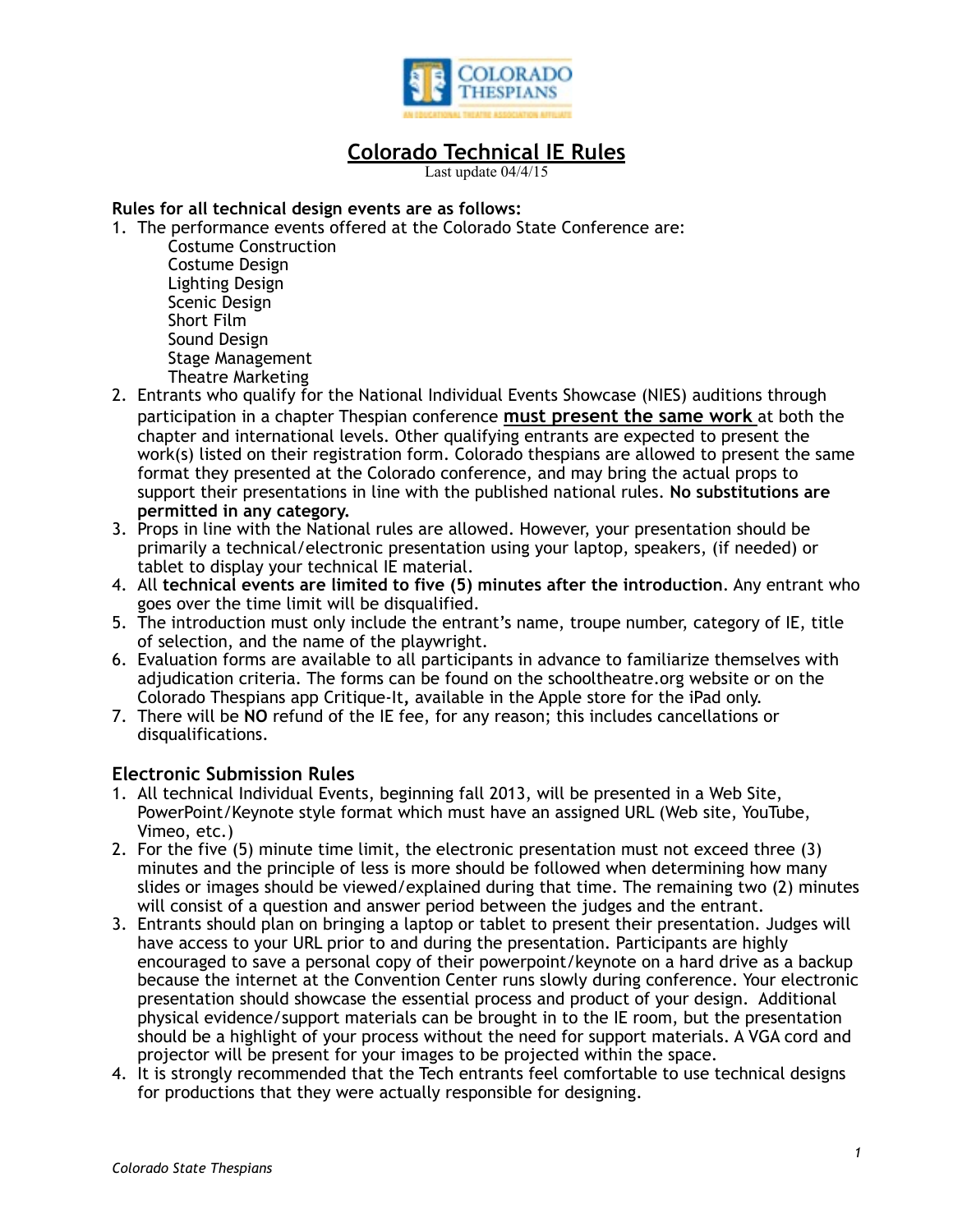

# **Colorado Technical IE Rules**

Last update 04/4/15

## **Rules for all technical design events are as follows:**

- 1. The performance events offered at the Colorado State Conference are:
	- Costume Construction Costume Design Lighting Design Scenic Design Short Film Sound Design Stage Management Theatre Marketing
- 2. Entrants who qualify for the National Individual Events Showcase (NIES) auditions through participation in a chapter Thespian conference **must present the same work** at both the chapter and international levels. Other qualifying entrants are expected to present the work(s) listed on their registration form. Colorado thespians are allowed to present the same format they presented at the Colorado conference, and may bring the actual props to support their presentations in line with the published national rules. **No substitutions are permitted in any category.**
- 3. Props in line with the National rules are allowed. However, your presentation should be primarily a technical/electronic presentation using your laptop, speakers, (if needed) or tablet to display your technical IE material.
- 4. All **technical events are limited to five (5) minutes after the introduction**. Any entrant who goes over the time limit will be disqualified.
- 5. The introduction must only include the entrant's name, troupe number, category of IE, title of selection, and the name of the playwright.
- 6. Evaluation forms are available to all participants in advance to familiarize themselves with adjudication criteria. The forms can be found on the schooltheatre.org website or on the Colorado Thespians app Critique-It**,** available in the Apple store for the iPad only.
- 7. There will be **NO** refund of the IE fee, for any reason; this includes cancellations or disqualifications.

## **Electronic Submission Rules**

- 1. All technical Individual Events, beginning fall 2013, will be presented in a Web Site, PowerPoint/Keynote style format which must have an assigned URL (Web site, YouTube, Vimeo, etc.)
- 2. For the five (5) minute time limit, the electronic presentation must not exceed three (3) minutes and the principle of less is more should be followed when determining how many slides or images should be viewed/explained during that time. The remaining two (2) minutes will consist of a question and answer period between the judges and the entrant.
- 3. Entrants should plan on bringing a laptop or tablet to present their presentation. Judges will have access to your URL prior to and during the presentation. Participants are highly encouraged to save a personal copy of their powerpoint/keynote on a hard drive as a backup because the internet at the Convention Center runs slowly during conference. Your electronic presentation should showcase the essential process and product of your design. Additional physical evidence/support materials can be brought in to the IE room, but the presentation should be a highlight of your process without the need for support materials. A VGA cord and projector will be present for your images to be projected within the space.
- 4. It is strongly recommended that the Tech entrants feel comfortable to use technical designs for productions that they were actually responsible for designing.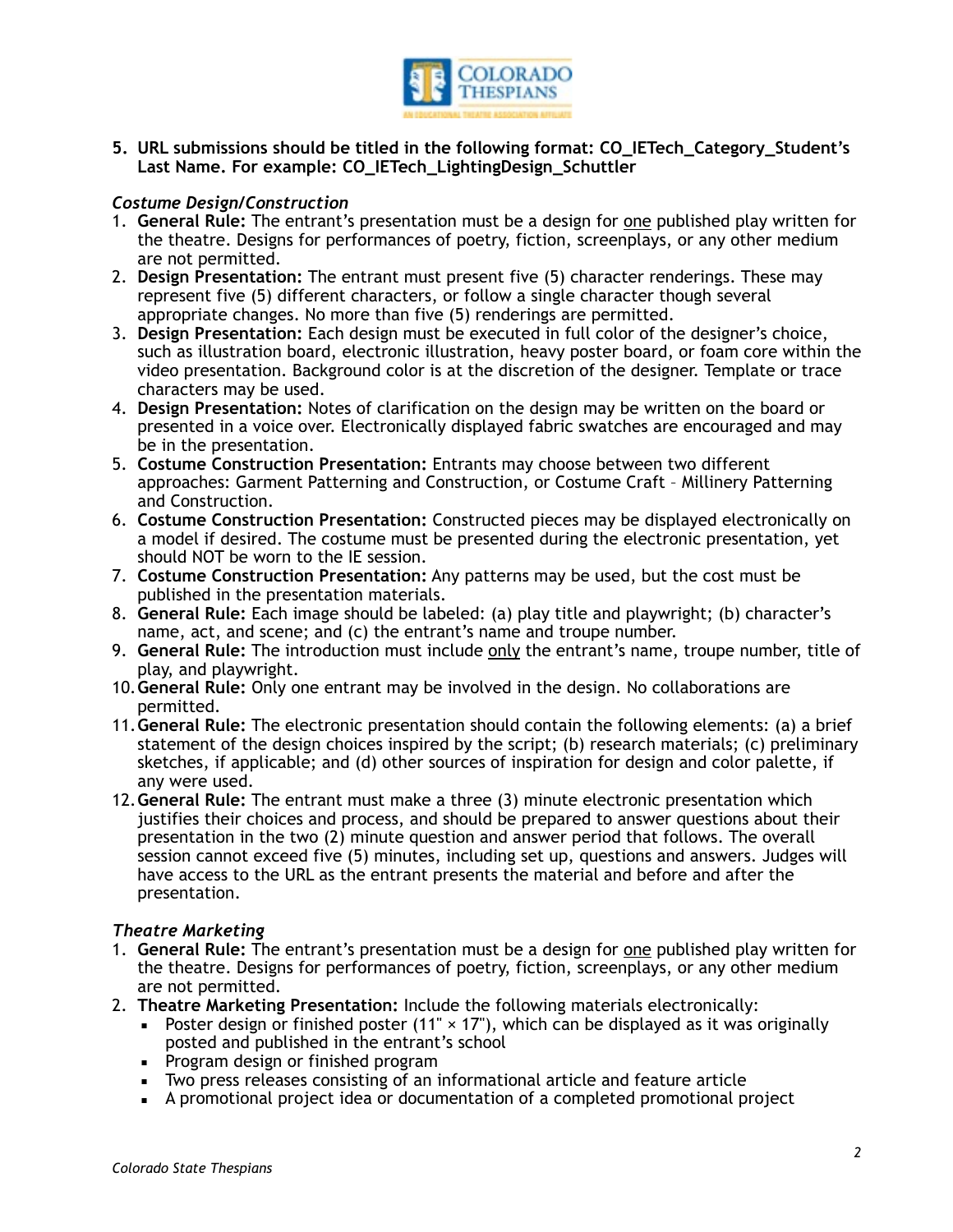

**5. URL submissions should be titled in the following format: CO\_IETech\_Category\_Student's Last Name. For example: CO\_IETech\_LightingDesign\_Schuttler** 

## *Costume Design/Construction*

- 1. **General Rule:** The entrant's presentation must be a design for one published play written for the theatre. Designs for performances of poetry, fiction, screenplays, or any other medium are not permitted.
- 2. **Design Presentation:** The entrant must present five (5) character renderings. These may represent five (5) different characters, or follow a single character though several appropriate changes. No more than five (5) renderings are permitted.
- 3. **Design Presentation:** Each design must be executed in full color of the designer's choice, such as illustration board, electronic illustration, heavy poster board, or foam core within the video presentation. Background color is at the discretion of the designer. Template or trace characters may be used.
- 4. **Design Presentation:** Notes of clarification on the design may be written on the board or presented in a voice over. Electronically displayed fabric swatches are encouraged and may be in the presentation.
- 5. **Costume Construction Presentation:** Entrants may choose between two different approaches: Garment Patterning and Construction, or Costume Craft – Millinery Patterning and Construction.
- 6. **Costume Construction Presentation:** Constructed pieces may be displayed electronically on a model if desired. The costume must be presented during the electronic presentation, yet should NOT be worn to the IE session.
- 7. **Costume Construction Presentation:** Any patterns may be used, but the cost must be published in the presentation materials.
- 8. **General Rule:** Each image should be labeled: (a) play title and playwright; (b) character's name, act, and scene; and (c) the entrant's name and troupe number.
- 9. **General Rule:** The introduction must include only the entrant's name, troupe number, title of play, and playwright.
- 10.**General Rule:** Only one entrant may be involved in the design. No collaborations are permitted.
- 11.**General Rule:** The electronic presentation should contain the following elements: (a) a brief statement of the design choices inspired by the script; (b) research materials; (c) preliminary sketches, if applicable; and (d) other sources of inspiration for design and color palette, if any were used.
- 12.**General Rule:** The entrant must make a three (3) minute electronic presentation which justifies their choices and process, and should be prepared to answer questions about their presentation in the two (2) minute question and answer period that follows. The overall session cannot exceed five (5) minutes, including set up, questions and answers. Judges will have access to the URL as the entrant presents the material and before and after the presentation.

### *Theatre Marketing*

- 1. **General Rule:** The entrant's presentation must be a design for one published play written for the theatre. Designs for performances of poetry, fiction, screenplays, or any other medium are not permitted.
- 2. **Theatre Marketing Presentation:** Include the following materials electronically:
	- **•** Poster design or finished poster (11"  $\times$  17"), which can be displayed as it was originally posted and published in the entrant's school
	- **•** Program design or finished program
	- Two press releases consisting of an informational article and feature article
	- A promotional project idea or documentation of a completed promotional project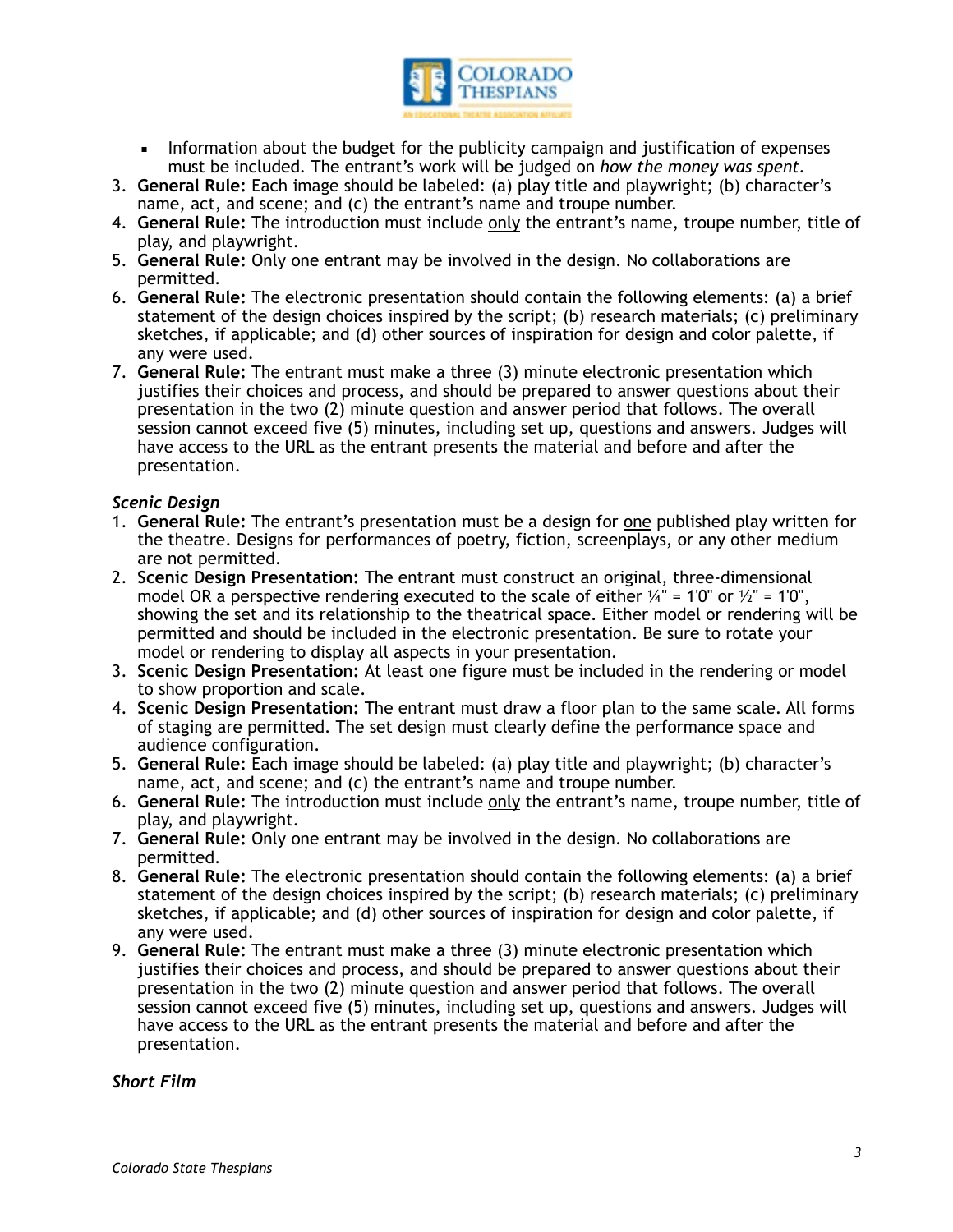

- **EXED** Information about the budget for the publicity campaign and justification of expenses must be included*.* The entrant's work will be judged on *how the money was spent.*
- 3. **General Rule:** Each image should be labeled: (a) play title and playwright; (b) character's name, act, and scene; and (c) the entrant's name and troupe number.
- 4. **General Rule:** The introduction must include only the entrant's name, troupe number, title of play, and playwright.
- 5. **General Rule:** Only one entrant may be involved in the design. No collaborations are permitted.
- 6. **General Rule:** The electronic presentation should contain the following elements: (a) a brief statement of the design choices inspired by the script; (b) research materials; (c) preliminary sketches, if applicable; and (d) other sources of inspiration for design and color palette, if any were used.
- 7. **General Rule:** The entrant must make a three (3) minute electronic presentation which justifies their choices and process, and should be prepared to answer questions about their presentation in the two (2) minute question and answer period that follows. The overall session cannot exceed five (5) minutes, including set up, questions and answers. Judges will have access to the URL as the entrant presents the material and before and after the presentation.

## *Scenic Design*

- 1. **General Rule:** The entrant's presentation must be a design for one published play written for the theatre. Designs for performances of poetry, fiction, screenplays, or any other medium are not permitted.
- 2. **Scenic Design Presentation:** The entrant must construct an original, three-dimensional model OR a perspective rendering executed to the scale of either  $\frac{1}{4}$ " = 1'0" or  $\frac{1}{2}$ " = 1'0", showing the set and its relationship to the theatrical space. Either model or rendering will be permitted and should be included in the electronic presentation. Be sure to rotate your model or rendering to display all aspects in your presentation.
- 3. **Scenic Design Presentation:** At least one figure must be included in the rendering or model to show proportion and scale.
- 4. **Scenic Design Presentation:** The entrant must draw a floor plan to the same scale. All forms of staging are permitted. The set design must clearly define the performance space and audience configuration.
- 5. **General Rule:** Each image should be labeled: (a) play title and playwright; (b) character's name, act, and scene; and (c) the entrant's name and troupe number.
- 6. **General Rule:** The introduction must include only the entrant's name, troupe number, title of play, and playwright.
- 7. **General Rule:** Only one entrant may be involved in the design. No collaborations are permitted.
- 8. **General Rule:** The electronic presentation should contain the following elements: (a) a brief statement of the design choices inspired by the script; (b) research materials; (c) preliminary sketches, if applicable; and (d) other sources of inspiration for design and color palette, if any were used.
- 9. **General Rule:** The entrant must make a three (3) minute electronic presentation which justifies their choices and process, and should be prepared to answer questions about their presentation in the two (2) minute question and answer period that follows. The overall session cannot exceed five (5) minutes, including set up, questions and answers. Judges will have access to the URL as the entrant presents the material and before and after the presentation.

*Short Film*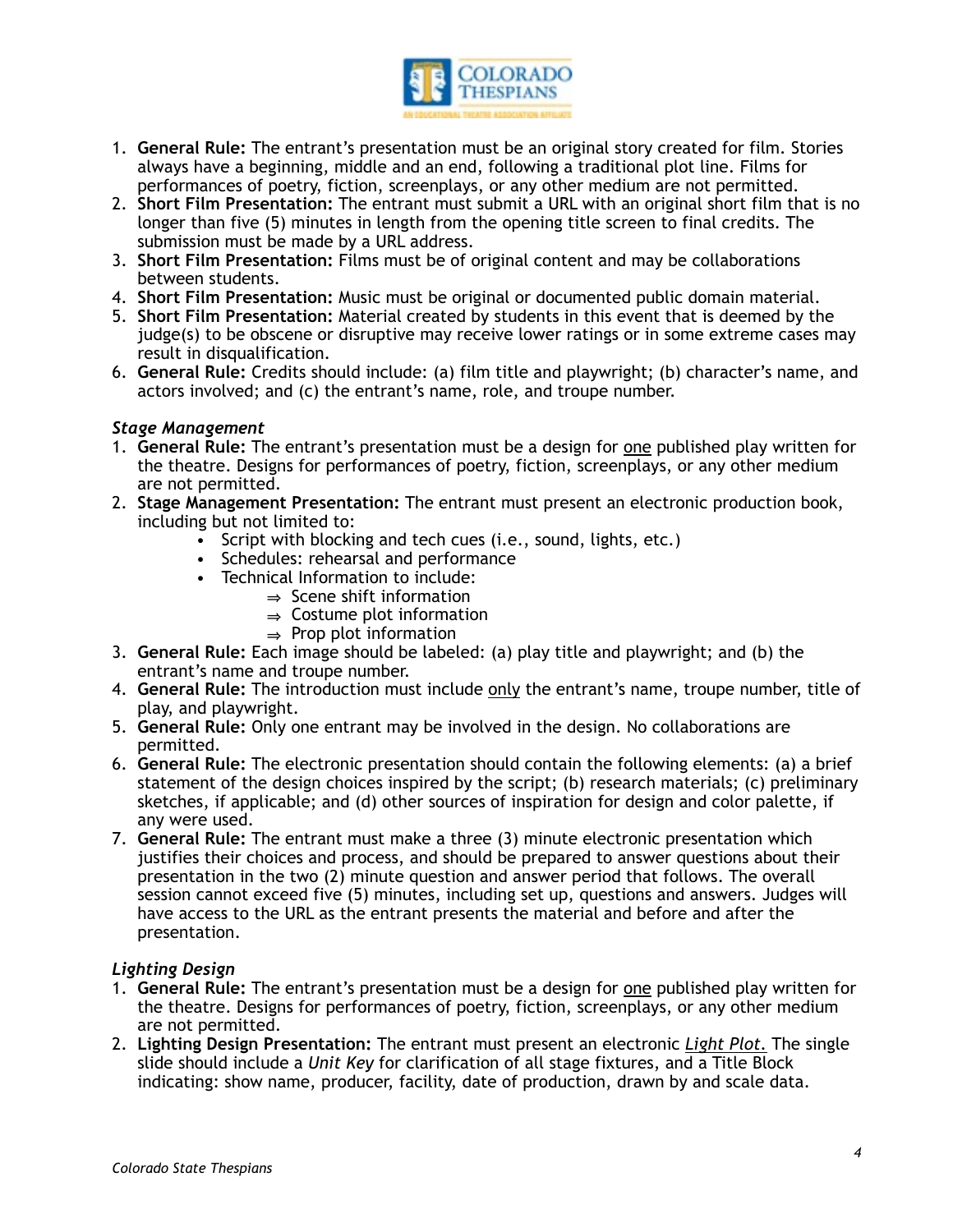

- 1. **General Rule:** The entrant's presentation must be an original story created for film. Stories always have a beginning, middle and an end, following a traditional plot line. Films for performances of poetry, fiction, screenplays, or any other medium are not permitted.
- 2. **Short Film Presentation:** The entrant must submit a URL with an original short film that is no longer than five (5) minutes in length from the opening title screen to final credits. The submission must be made by a URL address.
- 3. **Short Film Presentation:** Films must be of original content and may be collaborations between students.
- 4. **Short Film Presentation:** Music must be original or documented public domain material.
- 5. **Short Film Presentation:** Material created by students in this event that is deemed by the judge(s) to be obscene or disruptive may receive lower ratings or in some extreme cases may result in disqualification.
- 6. **General Rule:** Credits should include: (a) film title and playwright; (b) character's name, and actors involved; and (c) the entrant's name, role, and troupe number.

## *Stage Management*

- 1. **General Rule:** The entrant's presentation must be a design for one published play written for the theatre. Designs for performances of poetry, fiction, screenplays, or any other medium are not permitted.
- 2. **Stage Management Presentation:** The entrant must present an electronic production book, including but not limited to:
	- Script with blocking and tech cues (i.e., sound, lights, etc.)
	- Schedules: rehearsal and performance
	- Technical Information to include:
		- $\Rightarrow$  Scene shift information
		- $\Rightarrow$  Costume plot information
		- $\Rightarrow$  Prop plot information
- 3. **General Rule:** Each image should be labeled: (a) play title and playwright; and (b) the entrant's name and troupe number.
- 4. **General Rule:** The introduction must include only the entrant's name, troupe number, title of play, and playwright.
- 5. **General Rule:** Only one entrant may be involved in the design. No collaborations are permitted.
- 6. **General Rule:** The electronic presentation should contain the following elements: (a) a brief statement of the design choices inspired by the script; (b) research materials; (c) preliminary sketches, if applicable; and (d) other sources of inspiration for design and color palette, if any were used.
- 7. **General Rule:** The entrant must make a three (3) minute electronic presentation which justifies their choices and process, and should be prepared to answer questions about their presentation in the two (2) minute question and answer period that follows. The overall session cannot exceed five (5) minutes, including set up, questions and answers. Judges will have access to the URL as the entrant presents the material and before and after the presentation.

### *Lighting Design*

- 1. **General Rule:** The entrant's presentation must be a design for one published play written for the theatre. Designs for performances of poetry, fiction, screenplays, or any other medium are not permitted.
- 2. **Lighting Design Presentation:** The entrant must present an electronic *Light Plot.* The single slide should include a *Unit Key* for clarification of all stage fixtures, and a Title Block indicating: show name, producer, facility, date of production, drawn by and scale data.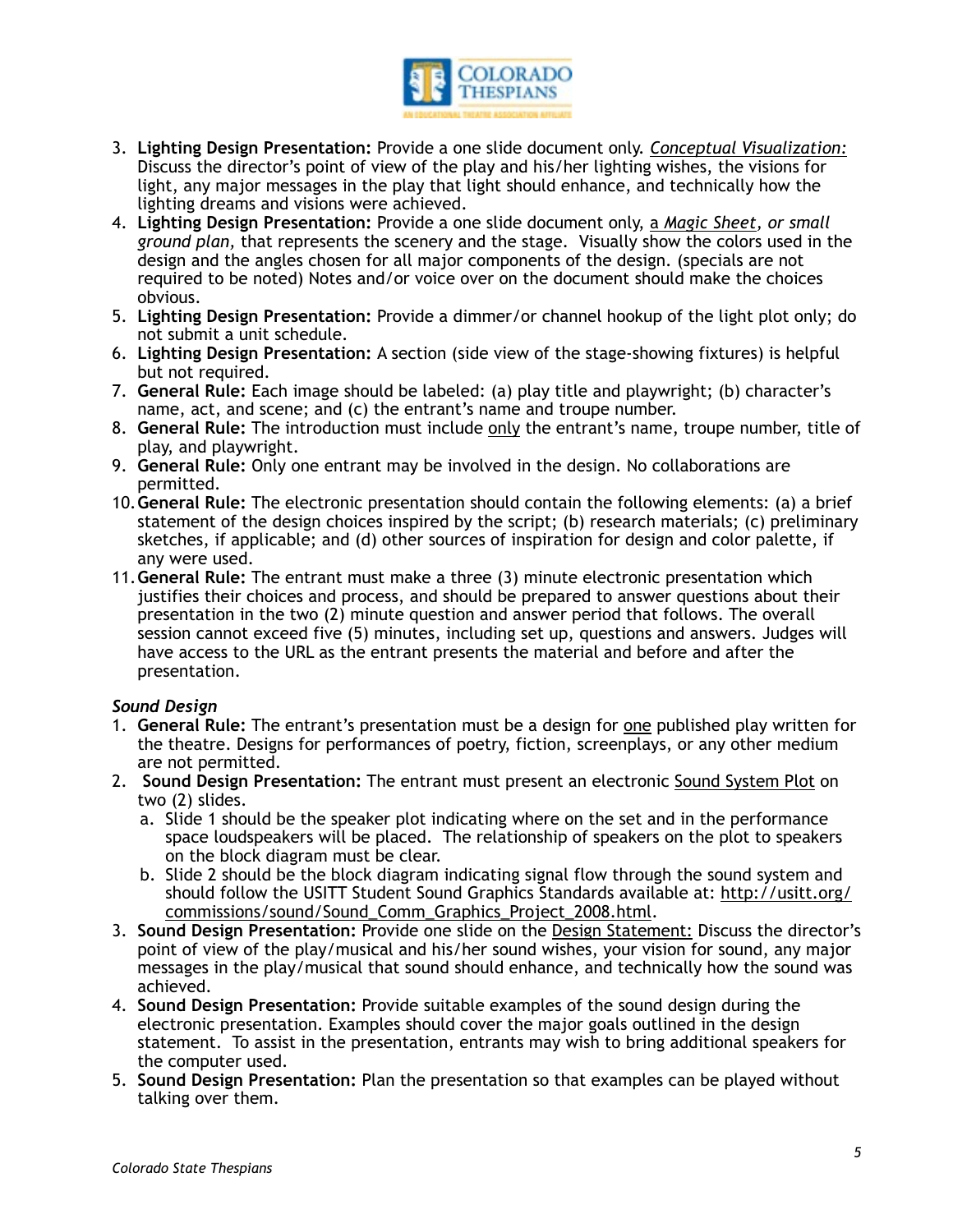

- 3. **Lighting Design Presentation:** Provide a one slide document only. *Conceptual Visualization:*  Discuss the director's point of view of the play and his/her lighting wishes, the visions for light, any major messages in the play that light should enhance, and technically how the lighting dreams and visions were achieved.
- 4. **Lighting Design Presentation:** Provide a one slide document only, a *Magic Sheet, or small ground plan,* that represents the scenery and the stage. Visually show the colors used in the design and the angles chosen for all major components of the design. (specials are not required to be noted) Notes and/or voice over on the document should make the choices obvious.
- 5. **Lighting Design Presentation:** Provide a dimmer/or channel hookup of the light plot only; do not submit a unit schedule.
- 6. **Lighting Design Presentation:** A section (side view of the stage-showing fixtures) is helpful but not required.
- 7. **General Rule:** Each image should be labeled: (a) play title and playwright; (b) character's name, act, and scene; and (c) the entrant's name and troupe number.
- 8. **General Rule:** The introduction must include only the entrant's name, troupe number, title of play, and playwright.
- 9. **General Rule:** Only one entrant may be involved in the design. No collaborations are permitted.
- 10.**General Rule:** The electronic presentation should contain the following elements: (a) a brief statement of the design choices inspired by the script; (b) research materials; (c) preliminary sketches, if applicable; and (d) other sources of inspiration for design and color palette, if any were used.
- 11.**General Rule:** The entrant must make a three (3) minute electronic presentation which justifies their choices and process, and should be prepared to answer questions about their presentation in the two (2) minute question and answer period that follows. The overall session cannot exceed five (5) minutes, including set up, questions and answers. Judges will have access to the URL as the entrant presents the material and before and after the presentation.

## *Sound Design*

- 1. **General Rule:** The entrant's presentation must be a design for one published play written for the theatre. Designs for performances of poetry, fiction, screenplays, or any other medium are not permitted.
- 2. **Sound Design Presentation:** The entrant must present an electronic Sound System Plot on two (2) slides.
	- a. Slide 1 should be the speaker plot indicating where on the set and in the performance space loudspeakers will be placed. The relationship of speakers on the plot to speakers on the block diagram must be clear.
	- b. Slide 2 should be the block diagram indicating signal flow through the sound system and [should follow the USITT Student Sound Graphics Standards available at: http://usitt.org/](http://usitt.org/commissions/sound/Sound_Comm_Graphics_Project_2008.html) commissions/sound/Sound\_Comm\_Graphics\_Project\_2008.html.
- 3. **Sound Design Presentation:** Provide one slide on the Design Statement: Discuss the director's point of view of the play/musical and his/her sound wishes, your vision for sound, any major messages in the play/musical that sound should enhance, and technically how the sound was achieved.
- 4. **Sound Design Presentation:** Provide suitable examples of the sound design during the electronic presentation. Examples should cover the major goals outlined in the design statement. To assist in the presentation, entrants may wish to bring additional speakers for the computer used.
- 5. **Sound Design Presentation:** Plan the presentation so that examples can be played without talking over them.